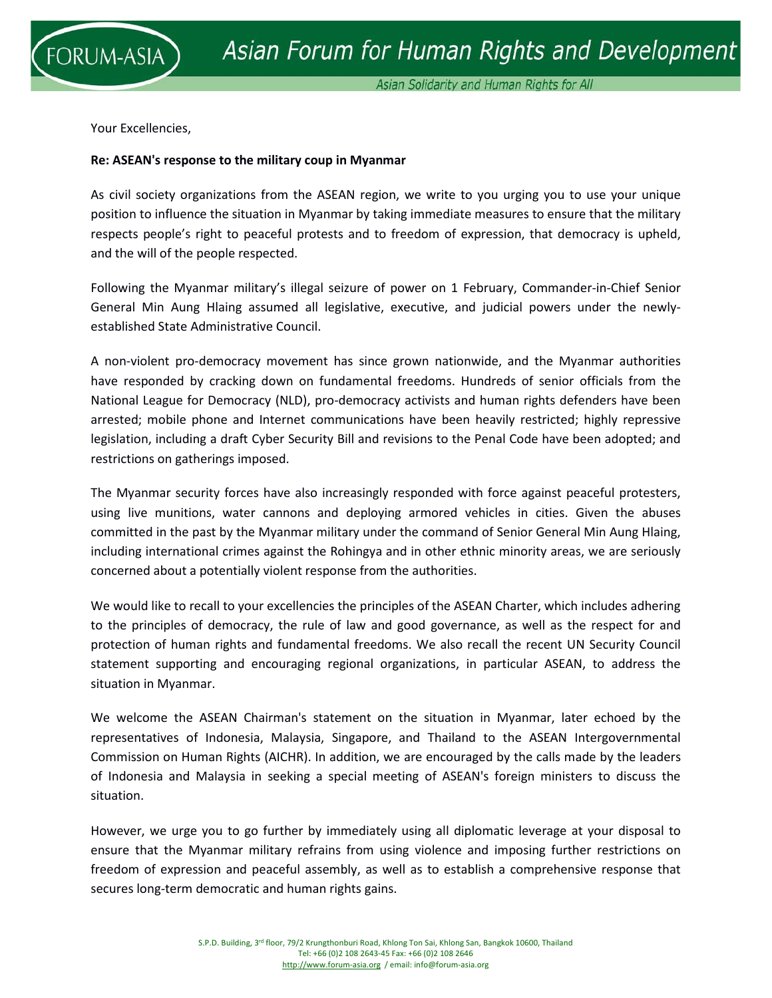

Your Excellencies,

## **Re: ASEAN's response to the military coup in Myanmar**

As civil society organizations from the ASEAN region, we write to you urging you to use your unique position to influence the situation in Myanmar by taking immediate measures to ensure that the military respects people's right to peaceful protests and to freedom of expression, that democracy is upheld, and the will of the people respected.

Following the Myanmar military's illegal seizure of power on 1 February, Commander-in-Chief Senior General Min Aung Hlaing assumed all legislative, executive, and judicial powers under the newlyestablished State Administrative Council.

A non-violent pro-democracy movement has since grown nationwide, and the Myanmar authorities have responded by cracking down on fundamental freedoms. Hundreds of senior officials from the National League for Democracy (NLD), pro-democracy activists and human rights defenders have been arrested; mobile phone and Internet communications have been heavily restricted; highly repressive legislation, including a draft Cyber Security Bill and revisions to the Penal Code have been adopted; and restrictions on gatherings imposed.

The Myanmar security forces have also increasingly responded with force against peaceful protesters, using live munitions, water cannons and deploying armored vehicles in cities. Given the abuses committed in the past by the Myanmar military under the command of Senior General Min Aung Hlaing, including international crimes against the Rohingya and in other ethnic minority areas, we are seriously concerned about a potentially violent response from the authorities.

We would like to recall to your excellencies the principles of the ASEAN Charter, which includes adhering to the principles of democracy, the rule of law and good governance, as well as the respect for and protection of human rights and fundamental freedoms. We also recall the recent UN Security Council statement supporting and encouraging regional organizations, in particular ASEAN, to address the situation in Myanmar.

We welcome the ASEAN Chairman's statement on the situation in Myanmar, later echoed by the representatives of Indonesia, Malaysia, Singapore, and Thailand to the ASEAN Intergovernmental Commission on Human Rights (AICHR). In addition, we are encouraged by the calls made by the leaders of Indonesia and Malaysia in seeking a special meeting of ASEAN's foreign ministers to discuss the situation.

However, we urge you to go further by immediately using all diplomatic leverage at your disposal to ensure that the Myanmar military refrains from using violence and imposing further restrictions on freedom of expression and peaceful assembly, as well as to establish a comprehensive response that secures long-term democratic and human rights gains.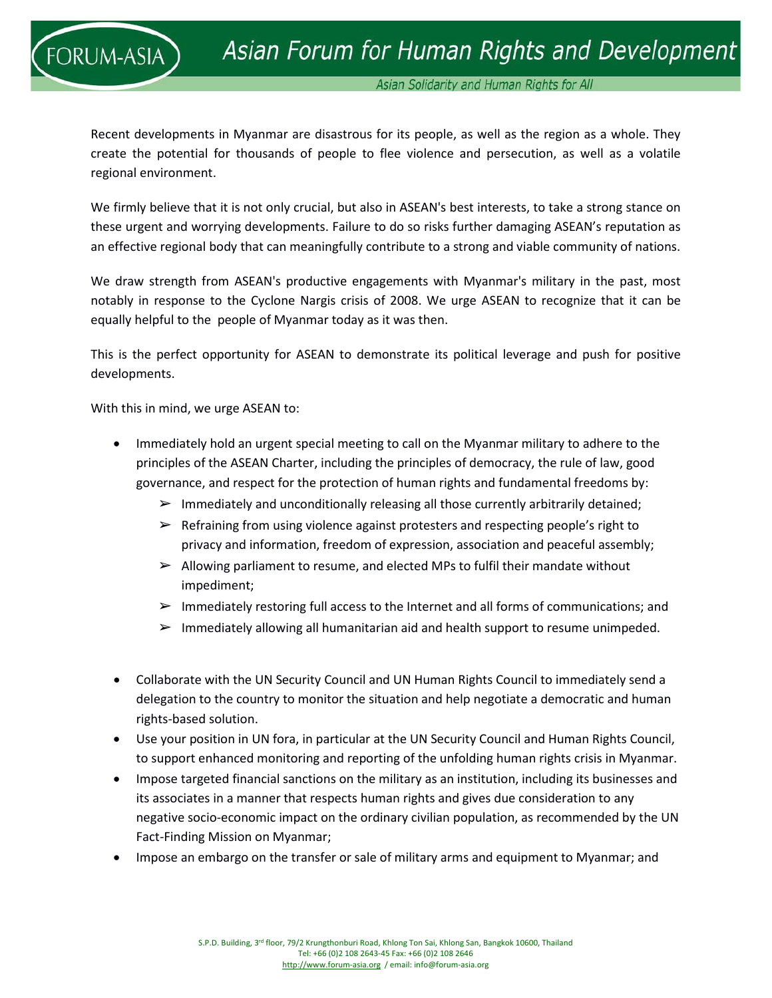

Asian Solidarity and Human Rights for All

Recent developments in Myanmar are disastrous for its people, as well as the region as a whole. They create the potential for thousands of people to flee violence and persecution, as well as a volatile regional environment.

We firmly believe that it is not only crucial, but also in ASEAN's best interests, to take a strong stance on these urgent and worrying developments. Failure to do so risks further damaging ASEAN's reputation as an effective regional body that can meaningfully contribute to a strong and viable community of nations.

We draw strength from ASEAN's productive engagements with Myanmar's military in the past, most notably in response to the Cyclone Nargis crisis of 2008. We urge ASEAN to recognize that it can be equally helpful to the people of Myanmar today as it was then.

This is the perfect opportunity for ASEAN to demonstrate its political leverage and push for positive developments.

With this in mind, we urge ASEAN to:

- Immediately hold an urgent special meeting to call on the Myanmar military to adhere to the principles of the ASEAN Charter, including the principles of democracy, the rule of law, good governance, and respect for the protection of human rights and fundamental freedoms by:
	- $\triangleright$  Immediately and unconditionally releasing all those currently arbitrarily detained;
	- $\triangleright$  Refraining from using violence against protesters and respecting people's right to privacy and information, freedom of expression, association and peaceful assembly;
	- $\triangleright$  Allowing parliament to resume, and elected MPs to fulfil their mandate without impediment;
	- $\triangleright$  Immediately restoring full access to the Internet and all forms of communications; and
	- $\triangleright$  Immediately allowing all humanitarian aid and health support to resume unimpeded.
- Collaborate with the UN Security Council and UN Human Rights Council to immediately send a delegation to the country to monitor the situation and help negotiate a democratic and human rights-based solution.
- Use your position in UN fora, in particular at the UN Security Council and Human Rights Council, to support enhanced monitoring and reporting of the unfolding human rights crisis in Myanmar.
- Impose targeted financial sanctions on the military as an institution, including its businesses and its associates in a manner that respects human rights and gives due consideration to any negative socio-economic impact on the ordinary civilian population, as recommended by the UN Fact-Finding Mission on Myanmar;
- Impose an embargo on the transfer or sale of military arms and equipment to Myanmar; and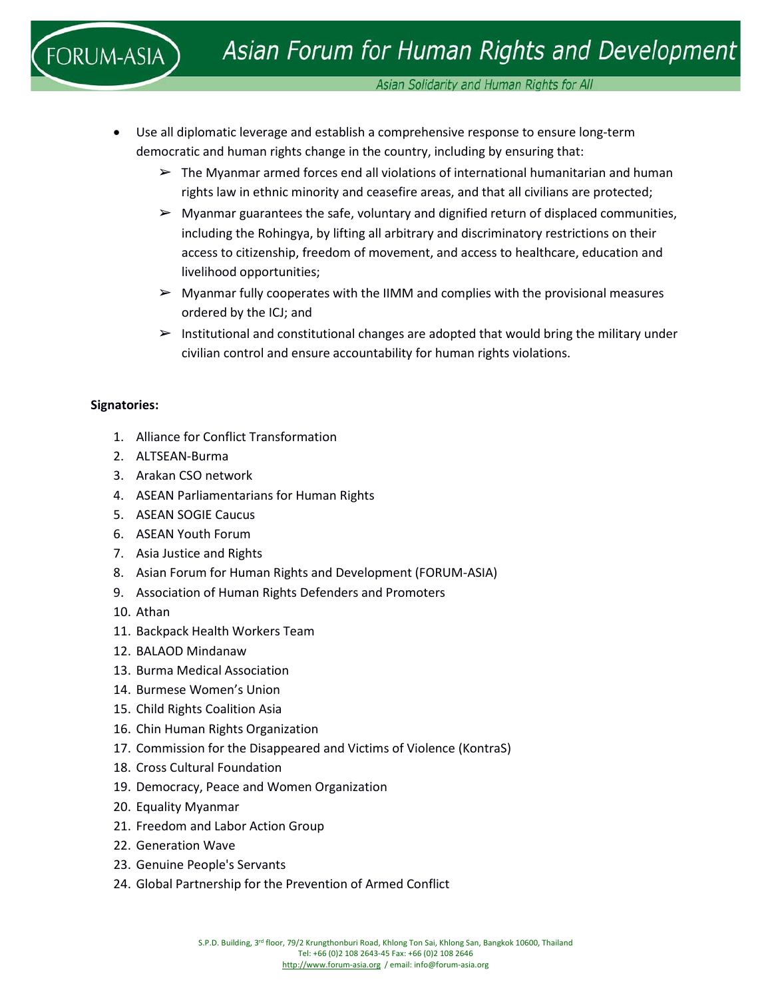Asian Solidarity and Human Rights for All

- Use all diplomatic leverage and establish a comprehensive response to ensure long-term democratic and human rights change in the country, including by ensuring that:
	- $\triangleright$  The Myanmar armed forces end all violations of international humanitarian and human rights law in ethnic minority and ceasefire areas, and that all civilians are protected;
	- $\triangleright$  Myanmar guarantees the safe, voluntary and dignified return of displaced communities, including the Rohingya, by lifting all arbitrary and discriminatory restrictions on their access to citizenship, freedom of movement, and access to healthcare, education and livelihood opportunities;
	- $\triangleright$  Myanmar fully cooperates with the IIMM and complies with the provisional measures ordered by the ICJ; and
	- $\triangleright$  Institutional and constitutional changes are adopted that would bring the military under civilian control and ensure accountability for human rights violations.

# **Signatories:**

- 1. Alliance for Conflict Transformation
- 2. ALTSEAN-Burma
- 3. Arakan CSO network
- 4. ASEAN Parliamentarians for Human Rights
- 5. ASEAN SOGIE Caucus
- 6. ASEAN Youth Forum
- 7. Asia Justice and Rights
- 8. Asian Forum for Human Rights and Development (FORUM-ASIA)
- 9. Association of Human Rights Defenders and Promoters
- 10. Athan
- 11. Backpack Health Workers Team
- 12. BALAOD Mindanaw
- 13. Burma Medical Association
- 14. Burmese Women's Union
- 15. Child Rights Coalition Asia
- 16. Chin Human Rights Organization
- 17. Commission for the Disappeared and Victims of Violence (KontraS)
- 18. Cross Cultural Foundation
- 19. Democracy, Peace and Women Organization
- 20. Equality Myanmar
- 21. Freedom and Labor Action Group
- 22. Generation Wave
- 23. Genuine People's Servants
- 24. Global Partnership for the Prevention of Armed Conflict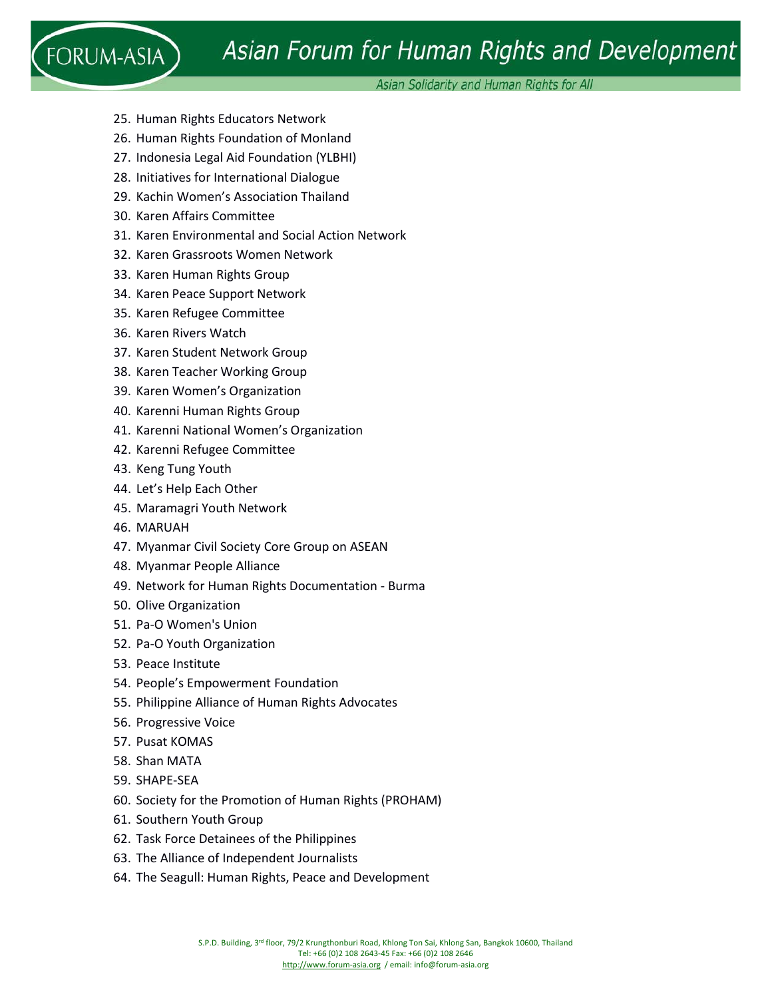# Asian Forum for Human Rights and Development

Asian Solidarity and Human Rights for All

- 25. Human Rights Educators Network
- 26. Human Rights Foundation of Monland
- 27. Indonesia Legal Aid Foundation (YLBHI)
- 28. Initiatives for International Dialogue
- 29. Kachin Women's Association Thailand
- 30. Karen Affairs Committee

 $FORUM-ASIA$ 

- 31. Karen Environmental and Social Action Network
- 32. Karen Grassroots Women Network
- 33. Karen Human Rights Group
- 34. Karen Peace Support Network
- 35. Karen Refugee Committee
- 36. Karen Rivers Watch
- 37. Karen Student Network Group
- 38. Karen Teacher Working Group
- 39. Karen Women's Organization
- 40. Karenni Human Rights Group
- 41. Karenni National Women's Organization
- 42. Karenni Refugee Committee
- 43. Keng Tung Youth
- 44. Let's Help Each Other
- 45. Maramagri Youth Network
- 46. MARUAH
- 47. Myanmar Civil Society Core Group on ASEAN
- 48. Myanmar People Alliance
- 49. Network for Human Rights Documentation Burma
- 50. Olive Organization
- 51. Pa-O Women's Union
- 52. Pa-O Youth Organization
- 53. Peace Institute
- 54. People's Empowerment Foundation
- 55. Philippine Alliance of Human Rights Advocates
- 56. Progressive Voice
- 57. Pusat KOMAS
- 58. Shan MATA
- 59. SHAPE-SEA
- 60. Society for the Promotion of Human Rights (PROHAM)
- 61. Southern Youth Group
- 62. Task Force Detainees of the Philippines
- 63. The Alliance of Independent Journalists
- 64. The Seagull: Human Rights, Peace and Development